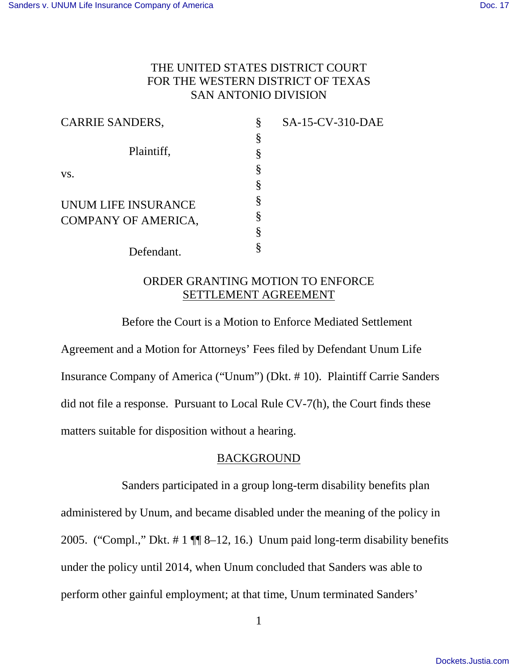# THE UNITED STATES DISTRICT COURT FOR THE WESTERN DISTRICT OF TEXAS SAN ANTONIO DIVISION

| <b>CARRIE SANDERS,</b> | § | SA-15-CV-310-DAE |
|------------------------|---|------------------|
|                        | § |                  |
| Plaintiff,             |   |                  |
| VS.                    |   |                  |
|                        |   |                  |
| UNUM LIFE INSURANCE    | § |                  |
| COMPANY OF AMERICA,    |   |                  |
|                        |   |                  |
| Defendant.             |   |                  |

# ORDER GRANTING MOTION TO ENFORCE SETTLEMENT AGREEMENT

 Before the Court is a Motion to Enforce Mediated Settlement Agreement and a Motion for Attorneys' Fees filed by Defendant Unum Life Insurance Company of America ("Unum") (Dkt. # 10). Plaintiff Carrie Sanders did not file a response. Pursuant to Local Rule CV-7(h), the Court finds these matters suitable for disposition without a hearing.

## BACKGROUND

Sanders participated in a group long-term disability benefits plan administered by Unum, and became disabled under the meaning of the policy in 2005. ("Compl.," Dkt. # 1 ¶¶ 8–12, 16.) Unum paid long-term disability benefits under the policy until 2014, when Unum concluded that Sanders was able to perform other gainful employment; at that time, Unum terminated Sanders'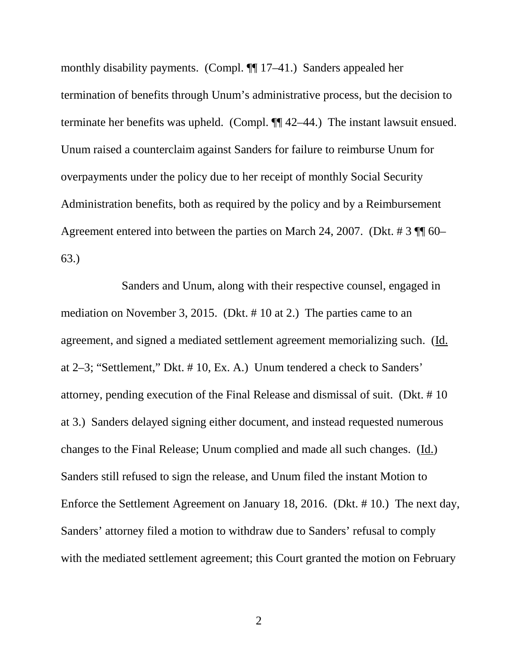monthly disability payments. (Compl. ¶¶ 17–41.) Sanders appealed her termination of benefits through Unum's administrative process, but the decision to terminate her benefits was upheld. (Compl. ¶¶ 42–44.) The instant lawsuit ensued. Unum raised a counterclaim against Sanders for failure to reimburse Unum for overpayments under the policy due to her receipt of monthly Social Security Administration benefits, both as required by the policy and by a Reimbursement Agreement entered into between the parties on March 24, 2007. (Dkt. # 3 ¶¶ 60– 63.)

Sanders and Unum, along with their respective counsel, engaged in mediation on November 3, 2015. (Dkt. # 10 at 2.) The parties came to an agreement, and signed a mediated settlement agreement memorializing such. (Id. at 2–3; "Settlement," Dkt. # 10, Ex. A.) Unum tendered a check to Sanders' attorney, pending execution of the Final Release and dismissal of suit. (Dkt. # 10 at 3.) Sanders delayed signing either document, and instead requested numerous changes to the Final Release; Unum complied and made all such changes. (Id.) Sanders still refused to sign the release, and Unum filed the instant Motion to Enforce the Settlement Agreement on January 18, 2016. (Dkt. # 10.) The next day, Sanders' attorney filed a motion to withdraw due to Sanders' refusal to comply with the mediated settlement agreement; this Court granted the motion on February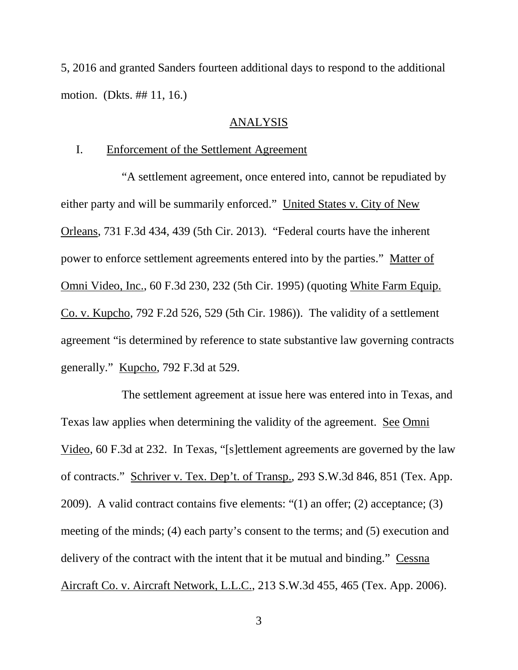5, 2016 and granted Sanders fourteen additional days to respond to the additional motion. (Dkts. ## 11, 16.)

### ANALYSIS

## I. Enforcement of the Settlement Agreement

"A settlement agreement, once entered into, cannot be repudiated by either party and will be summarily enforced." United States v. City of New Orleans, 731 F.3d 434, 439 (5th Cir. 2013). "Federal courts have the inherent power to enforce settlement agreements entered into by the parties." Matter of Omni Video, Inc., 60 F.3d 230, 232 (5th Cir. 1995) (quoting White Farm Equip. Co. v. Kupcho, 792 F.2d 526, 529 (5th Cir. 1986)). The validity of a settlement agreement "is determined by reference to state substantive law governing contracts generally." Kupcho, 792 F.3d at 529.

 The settlement agreement at issue here was entered into in Texas, and Texas law applies when determining the validity of the agreement. See Omni Video, 60 F.3d at 232. In Texas, "[s]ettlement agreements are governed by the law of contracts." Schriver v. Tex. Dep't. of Transp., 293 S.W.3d 846, 851 (Tex. App. 2009). A valid contract contains five elements: "(1) an offer; (2) acceptance; (3) meeting of the minds; (4) each party's consent to the terms; and (5) execution and delivery of the contract with the intent that it be mutual and binding." Cessna Aircraft Co. v. Aircraft Network, L.L.C., 213 S.W.3d 455, 465 (Tex. App. 2006).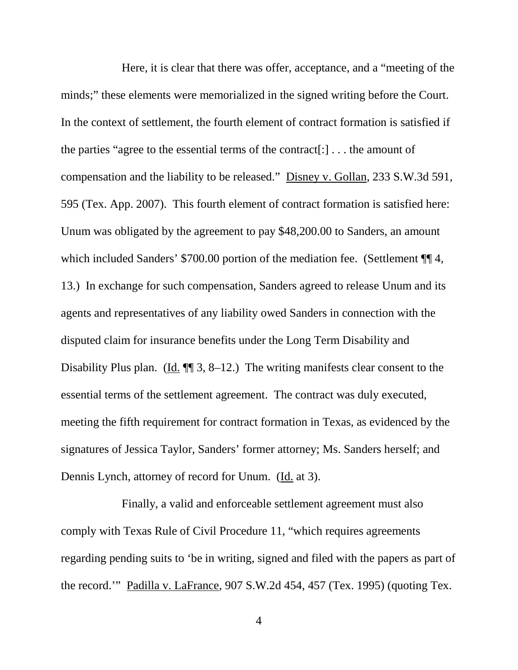Here, it is clear that there was offer, acceptance, and a "meeting of the minds;" these elements were memorialized in the signed writing before the Court. In the context of settlement, the fourth element of contract formation is satisfied if the parties "agree to the essential terms of the contract[:] . . . the amount of compensation and the liability to be released." Disney v. Gollan, 233 S.W.3d 591, 595 (Tex. App. 2007). This fourth element of contract formation is satisfied here: Unum was obligated by the agreement to pay \$48,200.00 to Sanders, an amount which included Sanders' \$700.00 portion of the mediation fee. (Settlement ¶ 4, 13.) In exchange for such compensation, Sanders agreed to release Unum and its agents and representatives of any liability owed Sanders in connection with the disputed claim for insurance benefits under the Long Term Disability and Disability Plus plan. (Id. ¶¶ 3, 8–12.) The writing manifests clear consent to the essential terms of the settlement agreement. The contract was duly executed, meeting the fifth requirement for contract formation in Texas, as evidenced by the signatures of Jessica Taylor, Sanders' former attorney; Ms. Sanders herself; and Dennis Lynch, attorney of record for Unum. (Id. at 3).

Finally, a valid and enforceable settlement agreement must also comply with Texas Rule of Civil Procedure 11, "which requires agreements regarding pending suits to 'be in writing, signed and filed with the papers as part of the record.'" Padilla v. LaFrance, 907 S.W.2d 454, 457 (Tex. 1995) (quoting Tex.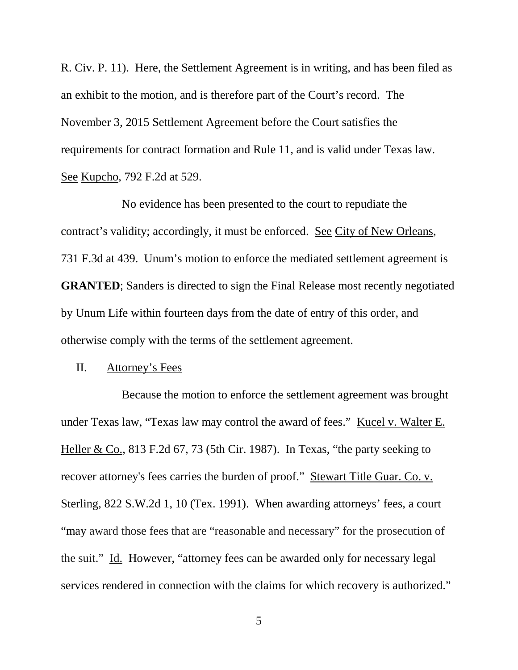R. Civ. P. 11). Here, the Settlement Agreement is in writing, and has been filed as an exhibit to the motion, and is therefore part of the Court's record. The November 3, 2015 Settlement Agreement before the Court satisfies the requirements for contract formation and Rule 11, and is valid under Texas law. See Kupcho, 792 F.2d at 529.

No evidence has been presented to the court to repudiate the contract's validity; accordingly, it must be enforced. See City of New Orleans, 731 F.3d at 439. Unum's motion to enforce the mediated settlement agreement is **GRANTED**; Sanders is directed to sign the Final Release most recently negotiated by Unum Life within fourteen days from the date of entry of this order, and otherwise comply with the terms of the settlement agreement.

#### II. Attorney's Fees

Because the motion to enforce the settlement agreement was brought under Texas law, "Texas law may control the award of fees." Kucel v. Walter E. Heller & Co., 813 F.2d 67, 73 (5th Cir. 1987). In Texas, "the party seeking to recover attorney's fees carries the burden of proof." Stewart Title Guar. Co. v. Sterling, 822 S.W.2d 1, 10 (Tex. 1991). When awarding attorneys' fees, a court "may award those fees that are "reasonable and necessary" for the prosecution of the suit." Id. However, "attorney fees can be awarded only for necessary legal services rendered in connection with the claims for which recovery is authorized."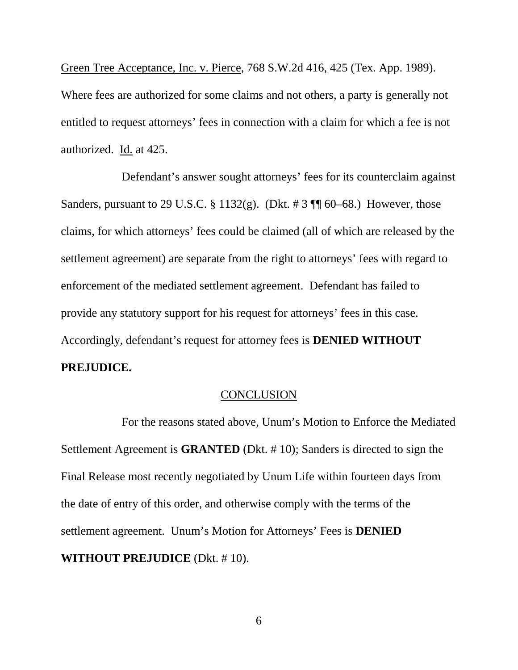Green Tree Acceptance, Inc. v. Pierce, 768 S.W.2d 416, 425 (Tex. App. 1989). Where fees are authorized for some claims and not others, a party is generally not entitled to request attorneys' fees in connection with a claim for which a fee is not authorized. Id. at 425.

Defendant's answer sought attorneys' fees for its counterclaim against Sanders, pursuant to 29 U.S.C. § 1132(g). (Dkt. # 3  $\P$  60–68.) However, those claims, for which attorneys' fees could be claimed (all of which are released by the settlement agreement) are separate from the right to attorneys' fees with regard to enforcement of the mediated settlement agreement. Defendant has failed to provide any statutory support for his request for attorneys' fees in this case. Accordingly, defendant's request for attorney fees is **DENIED WITHOUT PREJUDICE.**

### **CONCLUSION**

 For the reasons stated above, Unum's Motion to Enforce the Mediated Settlement Agreement is **GRANTED** (Dkt. # 10); Sanders is directed to sign the Final Release most recently negotiated by Unum Life within fourteen days from the date of entry of this order, and otherwise comply with the terms of the settlement agreement. Unum's Motion for Attorneys' Fees is **DENIED WITHOUT PREJUDICE** (Dkt. # 10).